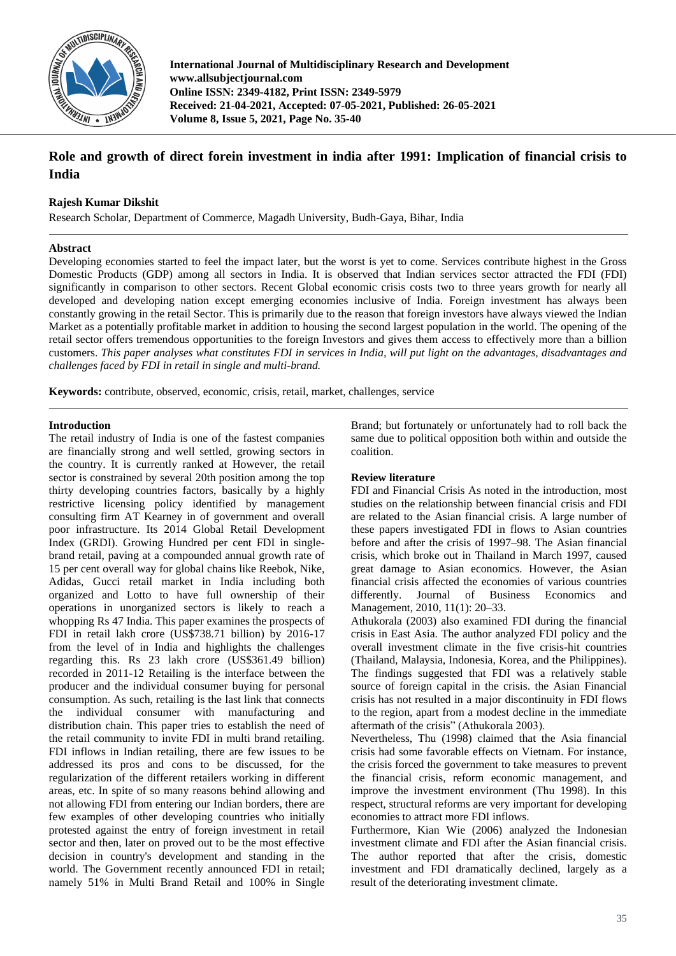

**International Journal of Multidisciplinary Research and Development www.allsubjectjournal.com Online ISSN: 2349-4182, Print ISSN: 2349-5979 Received: 21-04-2021, Accepted: 07-05-2021, Published: 26-05-2021 Volume 8, Issue 5, 2021, Page No. 35-40**

# **Role and growth of direct forein investment in india after 1991: Implication of financial crisis to India**

## **Rajesh Kumar Dikshit**

Research Scholar, Department of Commerce, Magadh University, Budh-Gaya, Bihar, India

## **Abstract**

Developing economies started to feel the impact later, but the worst is yet to come. Services contribute highest in the Gross Domestic Products (GDP) among all sectors in India. It is observed that Indian services sector attracted the FDI (FDI) significantly in comparison to other sectors. Recent Global economic crisis costs two to three years growth for nearly all developed and developing nation except emerging economies inclusive of India. Foreign investment has always been constantly growing in the retail Sector. This is primarily due to the reason that foreign investors have always viewed the Indian Market as a potentially profitable market in addition to housing the second largest population in the world. The opening of the retail sector offers tremendous opportunities to the foreign Investors and gives them access to effectively more than a billion customers. *This paper analyses what constitutes FDI in services in India, will put light on the advantages, disadvantages and challenges faced by FDI in retail in single and multi-brand.*

**Keywords:** contribute, observed, economic, crisis, retail, market, challenges, service

## **Introduction**

The retail industry of India is one of the fastest companies are financially strong and well settled, growing sectors in the country. It is currently ranked at However, the retail sector is constrained by several 20th position among the top thirty developing countries factors, basically by a highly restrictive licensing policy identified by management consulting firm AT Kearney in of government and overall poor infrastructure. Its 2014 Global Retail Development Index (GRDI). Growing Hundred per cent FDI in singlebrand retail, paving at a compounded annual growth rate of 15 per cent overall way for global chains like Reebok, Nike, Adidas, Gucci retail market in India including both organized and Lotto to have full ownership of their operations in unorganized sectors is likely to reach a whopping Rs 47 India. This paper examines the prospects of FDI in retail lakh crore (US\$738.71 billion) by 2016-17 from the level of in India and highlights the challenges regarding this. Rs 23 lakh crore (US\$361.49 billion) recorded in 2011-12 Retailing is the interface between the producer and the individual consumer buying for personal consumption. As such, retailing is the last link that connects the individual consumer with manufacturing and distribution chain. This paper tries to establish the need of the retail community to invite FDI in multi brand retailing. FDI inflows in Indian retailing, there are few issues to be addressed its pros and cons to be discussed, for the regularization of the different retailers working in different areas, etc. In spite of so many reasons behind allowing and not allowing FDI from entering our Indian borders, there are few examples of other developing countries who initially protested against the entry of foreign investment in retail sector and then, later on proved out to be the most effective decision in country's development and standing in the world. The Government recently announced FDI in retail; namely 51% in Multi Brand Retail and 100% in Single

Brand; but fortunately or unfortunately had to roll back the same due to political opposition both within and outside the coalition.

## **Review literature**

FDI and Financial Crisis As noted in the introduction, most studies on the relationship between financial crisis and FDI are related to the Asian financial crisis. A large number of these papers investigated FDI in flows to Asian countries before and after the crisis of 1997–98. The Asian financial crisis, which broke out in Thailand in March 1997, caused great damage to Asian economics. However, the Asian financial crisis affected the economies of various countries differently. Journal of Business Economics and Management, 2010, 11(1): 20–33.

Athukorala (2003) also examined FDI during the financial crisis in East Asia. The author analyzed FDI policy and the overall investment climate in the five crisis-hit countries (Thailand, Malaysia, Indonesia, Korea, and the Philippines). The findings suggested that FDI was a relatively stable source of foreign capital in the crisis. the Asian Financial crisis has not resulted in a major discontinuity in FDI flows to the region, apart from a modest decline in the immediate aftermath of the crisis" (Athukorala 2003).

Nevertheless, Thu (1998) claimed that the Asia financial crisis had some favorable effects on Vietnam. For instance, the crisis forced the government to take measures to prevent the financial crisis, reform economic management, and improve the investment environment (Thu 1998). In this respect, structural reforms are very important for developing economies to attract more FDI inflows.

Furthermore, Kian Wie (2006) analyzed the Indonesian investment climate and FDI after the Asian financial crisis. The author reported that after the crisis, domestic investment and FDI dramatically declined, largely as a result of the deteriorating investment climate.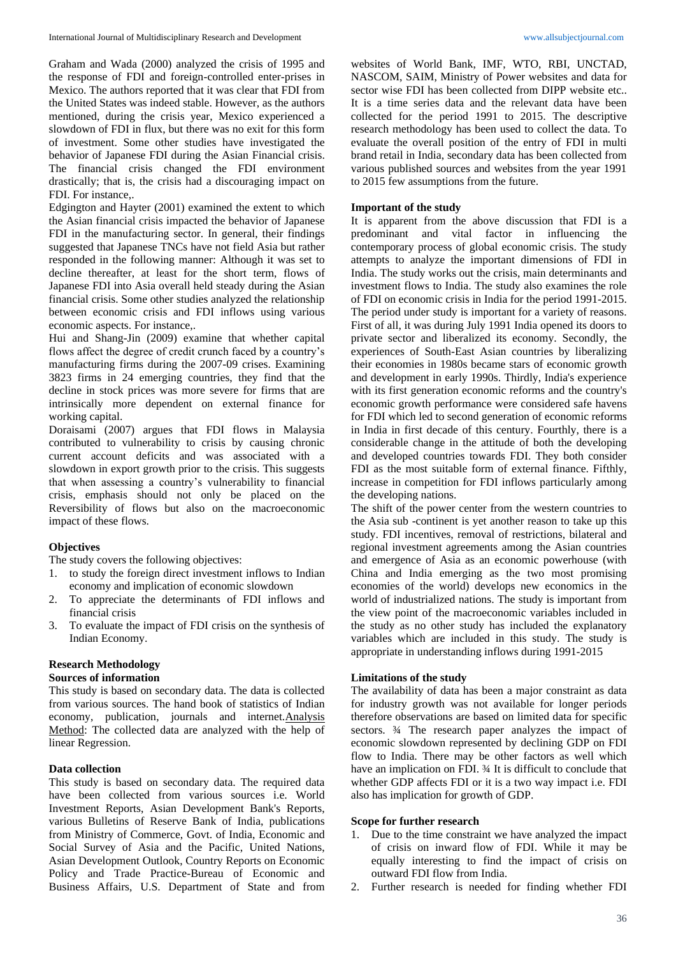Graham and Wada (2000) analyzed the crisis of 1995 and the response of FDI and foreign-controlled enter-prises in Mexico. The authors reported that it was clear that FDI from the United States was indeed stable. However, as the authors mentioned, during the crisis year, Mexico experienced a slowdown of FDI in flux, but there was no exit for this form of investment. Some other studies have investigated the behavior of Japanese FDI during the Asian Financial crisis. The financial crisis changed the FDI environment drastically; that is, the crisis had a discouraging impact on FDI. For instance,.

Edgington and Hayter (2001) examined the extent to which the Asian financial crisis impacted the behavior of Japanese FDI in the manufacturing sector. In general, their findings suggested that Japanese TNCs have not field Asia but rather responded in the following manner: Although it was set to decline thereafter, at least for the short term, flows of Japanese FDI into Asia overall held steady during the Asian financial crisis. Some other studies analyzed the relationship between economic crisis and FDI inflows using various economic aspects. For instance,.

Hui and Shang-Jin (2009) examine that whether capital flows affect the degree of credit crunch faced by a country's manufacturing firms during the 2007-09 crises. Examining 3823 firms in 24 emerging countries, they find that the decline in stock prices was more severe for firms that are intrinsically more dependent on external finance for working capital.

Doraisami (2007) argues that FDI flows in Malaysia contributed to vulnerability to crisis by causing chronic current account deficits and was associated with a slowdown in export growth prior to the crisis. This suggests that when assessing a country's vulnerability to financial crisis, emphasis should not only be placed on the Reversibility of flows but also on the macroeconomic impact of these flows.

## **Objectives**

The study covers the following objectives:

- 1. to study the foreign direct investment inflows to Indian economy and implication of economic slowdown
- 2. To appreciate the determinants of FDI inflows and financial crisis
- 3. To evaluate the impact of FDI crisis on the synthesis of Indian Economy.

## **Research Methodology**

## **Sources of information**

This study is based on secondary data. The data is collected from various sources. The hand book of statistics of Indian economy, publication, journals and internet.Analysis Method: The collected data are analyzed with the help of linear Regression.

## **Data collection**

This study is based on secondary data. The required data have been collected from various sources i.e. World Investment Reports, Asian Development Bank's Reports, various Bulletins of Reserve Bank of India, publications from Ministry of Commerce, Govt. of India, Economic and Social Survey of Asia and the Pacific, United Nations, Asian Development Outlook, Country Reports on Economic Policy and Trade Practice-Bureau of Economic and Business Affairs, U.S. Department of State and from

websites of World Bank, IMF, WTO, RBI, UNCTAD, NASCOM, SAIM, Ministry of Power websites and data for sector wise FDI has been collected from DIPP website etc.. It is a time series data and the relevant data have been collected for the period 1991 to 2015. The descriptive research methodology has been used to collect the data. To evaluate the overall position of the entry of FDI in multi brand retail in India, secondary data has been collected from various published sources and websites from the year 1991 to 2015 few assumptions from the future.

## **Important of the study**

It is apparent from the above discussion that FDI is a predominant and vital factor in influencing the contemporary process of global economic crisis. The study attempts to analyze the important dimensions of FDI in India. The study works out the crisis, main determinants and investment flows to India. The study also examines the role of FDI on economic crisis in India for the period 1991-2015. The period under study is important for a variety of reasons. First of all, it was during July 1991 India opened its doors to private sector and liberalized its economy. Secondly, the experiences of South-East Asian countries by liberalizing their economies in 1980s became stars of economic growth and development in early 1990s. Thirdly, India's experience with its first generation economic reforms and the country's economic growth performance were considered safe havens for FDI which led to second generation of economic reforms in India in first decade of this century. Fourthly, there is a considerable change in the attitude of both the developing and developed countries towards FDI. They both consider FDI as the most suitable form of external finance. Fifthly, increase in competition for FDI inflows particularly among the developing nations.

The shift of the power center from the western countries to the Asia sub -continent is yet another reason to take up this study. FDI incentives, removal of restrictions, bilateral and regional investment agreements among the Asian countries and emergence of Asia as an economic powerhouse (with China and India emerging as the two most promising economies of the world) develops new economics in the world of industrialized nations. The study is important from the view point of the macroeconomic variables included in the study as no other study has included the explanatory variables which are included in this study. The study is appropriate in understanding inflows during 1991-2015

## **Limitations of the study**

The availability of data has been a major constraint as data for industry growth was not available for longer periods therefore observations are based on limited data for specific sectors.  $\frac{3}{4}$  The research paper analyzes the impact of economic slowdown represented by declining GDP on FDI flow to India. There may be other factors as well which have an implication on FDI. 34 It is difficult to conclude that whether GDP affects FDI or it is a two way impact i.e. FDI also has implication for growth of GDP.

#### **Scope for further research**

- 1. Due to the time constraint we have analyzed the impact of crisis on inward flow of FDI. While it may be equally interesting to find the impact of crisis on outward FDI flow from India.
- 2. Further research is needed for finding whether FDI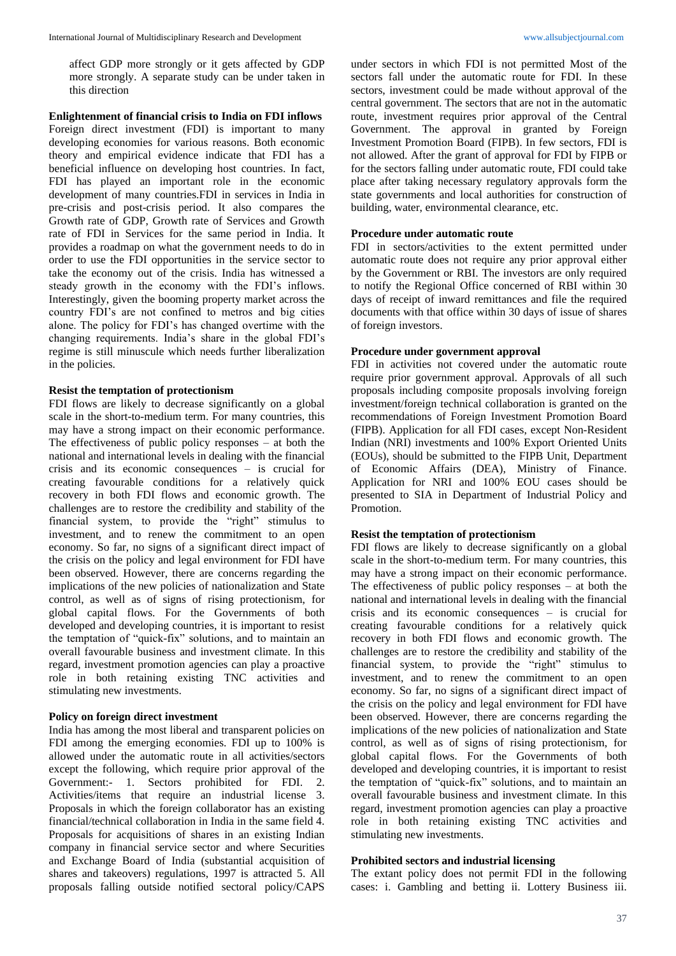affect GDP more strongly or it gets affected by GDP more strongly. A separate study can be under taken in this direction

**Enlightenment of financial crisis to India on FDI inflows** Foreign direct investment (FDI) is important to many developing economies for various reasons. Both economic theory and empirical evidence indicate that FDI has a beneficial influence on developing host countries. In fact, FDI has played an important role in the economic development of many countries.FDI in services in India in pre-crisis and post-crisis period. It also compares the Growth rate of GDP, Growth rate of Services and Growth rate of FDI in Services for the same period in India. It provides a roadmap on what the government needs to do in order to use the FDI opportunities in the service sector to take the economy out of the crisis. India has witnessed a steady growth in the economy with the FDI's inflows. Interestingly, given the booming property market across the country FDI's are not confined to metros and big cities alone. The policy for FDI's has changed overtime with the changing requirements. India's share in the global FDI's regime is still minuscule which needs further liberalization in the policies.

### **Resist the temptation of protectionism**

FDI flows are likely to decrease significantly on a global scale in the short-to-medium term. For many countries, this may have a strong impact on their economic performance. The effectiveness of public policy responses – at both the national and international levels in dealing with the financial crisis and its economic consequences – is crucial for creating favourable conditions for a relatively quick recovery in both FDI flows and economic growth. The challenges are to restore the credibility and stability of the financial system, to provide the "right" stimulus to investment, and to renew the commitment to an open economy. So far, no signs of a significant direct impact of the crisis on the policy and legal environment for FDI have been observed. However, there are concerns regarding the implications of the new policies of nationalization and State control, as well as of signs of rising protectionism, for global capital flows. For the Governments of both developed and developing countries, it is important to resist the temptation of "quick-fix" solutions, and to maintain an overall favourable business and investment climate. In this regard, investment promotion agencies can play a proactive role in both retaining existing TNC activities and stimulating new investments.

### **Policy on foreign direct investment**

India has among the most liberal and transparent policies on FDI among the emerging economies. FDI up to 100% is allowed under the automatic route in all activities/sectors except the following, which require prior approval of the Government:- 1. Sectors prohibited for FDI. 2. Activities/items that require an industrial license 3. Proposals in which the foreign collaborator has an existing financial/technical collaboration in India in the same field 4. Proposals for acquisitions of shares in an existing Indian company in financial service sector and where Securities and Exchange Board of India (substantial acquisition of shares and takeovers) regulations, 1997 is attracted 5. All proposals falling outside notified sectoral policy/CAPS

under sectors in which FDI is not permitted Most of the sectors fall under the automatic route for FDI. In these sectors, investment could be made without approval of the central government. The sectors that are not in the automatic route, investment requires prior approval of the Central Government. The approval in granted by Foreign Investment Promotion Board (FIPB). In few sectors, FDI is not allowed. After the grant of approval for FDI by FIPB or for the sectors falling under automatic route, FDI could take place after taking necessary regulatory approvals form the state governments and local authorities for construction of building, water, environmental clearance, etc.

### **Procedure under automatic route**

FDI in sectors/activities to the extent permitted under automatic route does not require any prior approval either by the Government or RBI. The investors are only required to notify the Regional Office concerned of RBI within 30 days of receipt of inward remittances and file the required documents with that office within 30 days of issue of shares of foreign investors.

#### **Procedure under government approval**

FDI in activities not covered under the automatic route require prior government approval. Approvals of all such proposals including composite proposals involving foreign investment/foreign technical collaboration is granted on the recommendations of Foreign Investment Promotion Board (FIPB). Application for all FDI cases, except Non-Resident Indian (NRI) investments and 100% Export Oriented Units (EOUs), should be submitted to the FIPB Unit, Department of Economic Affairs (DEA), Ministry of Finance. Application for NRI and 100% EOU cases should be presented to SIA in Department of Industrial Policy and Promotion.

#### **Resist the temptation of protectionism**

FDI flows are likely to decrease significantly on a global scale in the short-to-medium term. For many countries, this may have a strong impact on their economic performance. The effectiveness of public policy responses – at both the national and international levels in dealing with the financial crisis and its economic consequences – is crucial for creating favourable conditions for a relatively quick recovery in both FDI flows and economic growth. The challenges are to restore the credibility and stability of the financial system, to provide the "right" stimulus to investment, and to renew the commitment to an open economy. So far, no signs of a significant direct impact of the crisis on the policy and legal environment for FDI have been observed. However, there are concerns regarding the implications of the new policies of nationalization and State control, as well as of signs of rising protectionism, for global capital flows. For the Governments of both developed and developing countries, it is important to resist the temptation of "quick-fix" solutions, and to maintain an overall favourable business and investment climate. In this regard, investment promotion agencies can play a proactive role in both retaining existing TNC activities and stimulating new investments.

#### **Prohibited sectors and industrial licensing**

The extant policy does not permit FDI in the following cases: i. Gambling and betting ii. Lottery Business iii.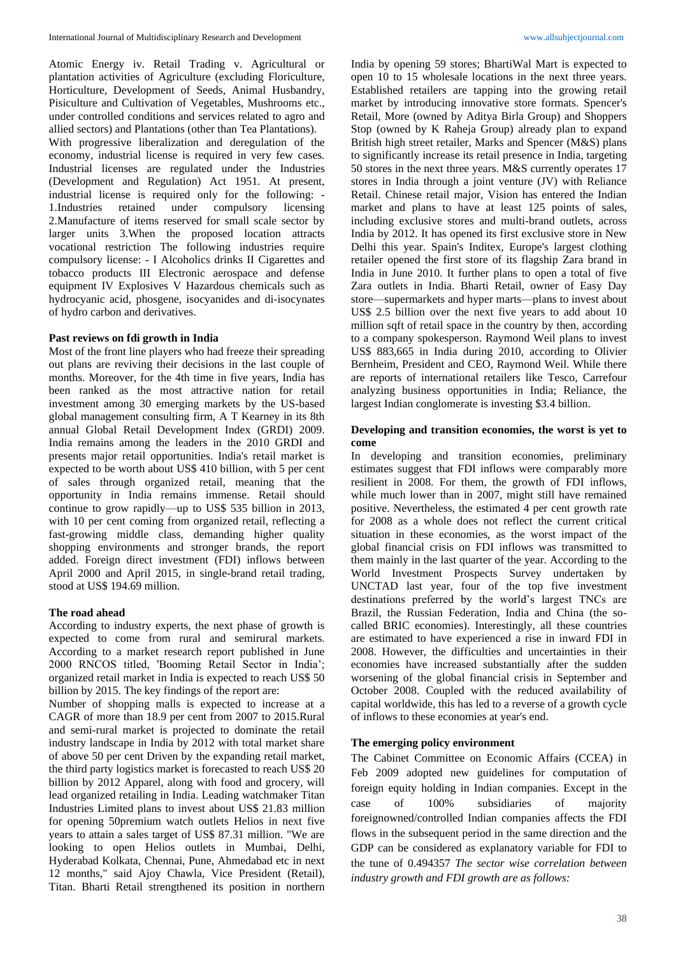Atomic Energy iv. Retail Trading v. Agricultural or plantation activities of Agriculture (excluding Floriculture, Horticulture, Development of Seeds, Animal Husbandry, Pisiculture and Cultivation of Vegetables, Mushrooms etc., under controlled conditions and services related to agro and allied sectors) and Plantations (other than Tea Plantations).

With progressive liberalization and deregulation of the economy, industrial license is required in very few cases. Industrial licenses are regulated under the Industries (Development and Regulation) Act 1951. At present, industrial license is required only for the following: - 1.Industries retained under compulsory licensing 2.Manufacture of items reserved for small scale sector by larger units 3.When the proposed location attracts vocational restriction The following industries require compulsory license: - I Alcoholics drinks II Cigarettes and tobacco products III Electronic aerospace and defense equipment IV Explosives V Hazardous chemicals such as hydrocyanic acid, phosgene, isocyanides and di-isocynates of hydro carbon and derivatives.

#### **Past reviews on fdi growth in India**

Most of the front line players who had freeze their spreading out plans are reviving their decisions in the last couple of months. Moreover, for the 4th time in five years, India has been ranked as the most attractive nation for retail investment among 30 emerging markets by the US-based global management consulting firm, A T Kearney in its 8th annual Global Retail Development Index (GRDI) 2009. India remains among the leaders in the 2010 GRDI and presents major retail opportunities. India's retail market is expected to be worth about US\$ 410 billion, with 5 per cent of sales through organized retail, meaning that the opportunity in India remains immense. Retail should continue to grow rapidly—up to US\$ 535 billion in 2013, with 10 per cent coming from organized retail, reflecting a fast-growing middle class, demanding higher quality shopping environments and stronger brands, the report added. Foreign direct investment (FDI) inflows between April 2000 and April 2015, in single-brand retail trading, stood at US\$ 194.69 million.

#### **The road ahead**

According to industry experts, the next phase of growth is expected to come from rural and semirural markets. According to a market research report published in June 2000 RNCOS titled, 'Booming Retail Sector in India'; organized retail market in India is expected to reach US\$ 50 billion by 2015. The key findings of the report are:

Number of shopping malls is expected to increase at a CAGR of more than 18.9 per cent from 2007 to 2015.Rural and semi-rural market is projected to dominate the retail industry landscape in India by 2012 with total market share of above 50 per cent Driven by the expanding retail market, the third party logistics market is forecasted to reach US\$ 20 billion by 2012 Apparel, along with food and grocery, will lead organized retailing in India. Leading watchmaker Titan Industries Limited plans to invest about US\$ 21.83 million for opening 50premium watch outlets Helios in next five years to attain a sales target of US\$ 87.31 million. "We are looking to open Helios outlets in Mumbai, Delhi, Hyderabad Kolkata, Chennai, Pune, Ahmedabad etc in next 12 months," said Ajoy Chawla, Vice President (Retail), Titan. Bharti Retail strengthened its position in northern

India by opening 59 stores; BhartiWal Mart is expected to open 10 to 15 wholesale locations in the next three years. Established retailers are tapping into the growing retail market by introducing innovative store formats. Spencer's Retail, More (owned by Aditya Birla Group) and Shoppers Stop (owned by K Raheja Group) already plan to expand British high street retailer, Marks and Spencer (M&S) plans to significantly increase its retail presence in India, targeting 50 stores in the next three years. M&S currently operates 17 stores in India through a joint venture (JV) with Reliance Retail. Chinese retail major, Vision has entered the Indian market and plans to have at least 125 points of sales, including exclusive stores and multi-brand outlets, across India by 2012. It has opened its first exclusive store in New Delhi this year. Spain's Inditex, Europe's largest clothing retailer opened the first store of its flagship Zara brand in India in June 2010. It further plans to open a total of five Zara outlets in India. Bharti Retail, owner of Easy Day store—supermarkets and hyper marts—plans to invest about US\$ 2.5 billion over the next five years to add about 10 million sqft of retail space in the country by then, according to a company spokesperson. Raymond Weil plans to invest US\$ 883,665 in India during 2010, according to Olivier Bernheim, President and CEO, Raymond Weil. While there are reports of international retailers like Tesco, Carrefour analyzing business opportunities in India; Reliance, the largest Indian conglomerate is investing \$3.4 billion.

#### **Developing and transition economies, the worst is yet to come**

In developing and transition economies, preliminary estimates suggest that FDI inflows were comparably more resilient in 2008. For them, the growth of FDI inflows, while much lower than in 2007, might still have remained positive. Nevertheless, the estimated 4 per cent growth rate for 2008 as a whole does not reflect the current critical situation in these economies, as the worst impact of the global financial crisis on FDI inflows was transmitted to them mainly in the last quarter of the year. According to the World Investment Prospects Survey undertaken by UNCTAD last year, four of the top five investment destinations preferred by the world's largest TNCs are Brazil, the Russian Federation, India and China (the socalled BRIC economies). Interestingly, all these countries are estimated to have experienced a rise in inward FDI in 2008. However, the difficulties and uncertainties in their economies have increased substantially after the sudden worsening of the global financial crisis in September and October 2008. Coupled with the reduced availability of capital worldwide, this has led to a reverse of a growth cycle of inflows to these economies at year's end.

## **The emerging policy environment**

The Cabinet Committee on Economic Affairs (CCEA) in Feb 2009 adopted new guidelines for computation of foreign equity holding in Indian companies. Except in the case of 100% subsidiaries of majority foreignowned/controlled Indian companies affects the FDI flows in the subsequent period in the same direction and the GDP can be considered as explanatory variable for FDI to the tune of 0.494357 *The sector wise correlation between industry growth and FDI growth are as follows:*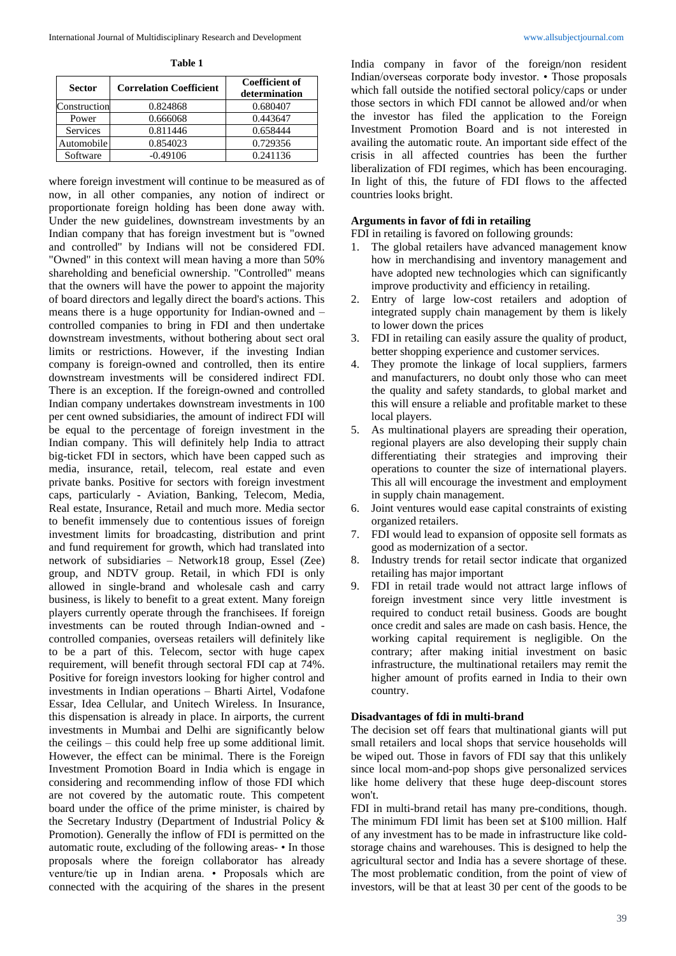**Table 1**

| <b>Sector</b> | <b>Correlation Coefficient</b> | <b>Coefficient of</b><br>determination |
|---------------|--------------------------------|----------------------------------------|
| Construction  | 0.824868                       | 0.680407                               |
| Power         | 0.666068                       | 0.443647                               |
| Services      | 0.811446                       | 0.658444                               |
| Automobile    | 0.854023                       | 0.729356                               |
| Software      | $-0.49106$                     | 0.241136                               |

where foreign investment will continue to be measured as of now, in all other companies, any notion of indirect or proportionate foreign holding has been done away with. Under the new guidelines, downstream investments by an Indian company that has foreign investment but is "owned and controlled" by Indians will not be considered FDI. "Owned" in this context will mean having a more than 50% shareholding and beneficial ownership. "Controlled" means that the owners will have the power to appoint the majority of board directors and legally direct the board's actions. This means there is a huge opportunity for Indian-owned and – controlled companies to bring in FDI and then undertake downstream investments, without bothering about sect oral limits or restrictions. However, if the investing Indian company is foreign-owned and controlled, then its entire downstream investments will be considered indirect FDI. There is an exception. If the foreign-owned and controlled Indian company undertakes downstream investments in 100 per cent owned subsidiaries, the amount of indirect FDI will be equal to the percentage of foreign investment in the Indian company. This will definitely help India to attract big-ticket FDI in sectors, which have been capped such as media, insurance, retail, telecom, real estate and even private banks. Positive for sectors with foreign investment caps, particularly - Aviation, Banking, Telecom, Media, Real estate, Insurance, Retail and much more. Media sector to benefit immensely due to contentious issues of foreign investment limits for broadcasting, distribution and print and fund requirement for growth, which had translated into network of subsidiaries – Network18 group, Essel (Zee) group, and NDTV group. Retail, in which FDI is only allowed in single-brand and wholesale cash and carry business, is likely to benefit to a great extent. Many foreign players currently operate through the franchisees. If foreign investments can be routed through Indian-owned and controlled companies, overseas retailers will definitely like to be a part of this. Telecom, sector with huge capex requirement, will benefit through sectoral FDI cap at 74%. Positive for foreign investors looking for higher control and investments in Indian operations – Bharti Airtel, Vodafone Essar, Idea Cellular, and Unitech Wireless. In Insurance, this dispensation is already in place. In airports, the current investments in Mumbai and Delhi are significantly below the ceilings – this could help free up some additional limit. However, the effect can be minimal. There is the Foreign Investment Promotion Board in India which is engage in considering and recommending inflow of those FDI which are not covered by the automatic route. This competent board under the office of the prime minister, is chaired by the Secretary Industry (Department of Industrial Policy & Promotion). Generally the inflow of FDI is permitted on the automatic route, excluding of the following areas- • In those proposals where the foreign collaborator has already venture/tie up in Indian arena. • Proposals which are connected with the acquiring of the shares in the present

India company in favor of the foreign/non resident Indian/overseas corporate body investor. • Those proposals which fall outside the notified sectoral policy/caps or under those sectors in which FDI cannot be allowed and/or when the investor has filed the application to the Foreign Investment Promotion Board and is not interested in availing the automatic route. An important side effect of the crisis in all affected countries has been the further liberalization of FDI regimes, which has been encouraging. In light of this, the future of FDI flows to the affected countries looks bright.

## **Arguments in favor of fdi in retailing**

FDI in retailing is favored on following grounds:

- 1. The global retailers have advanced management know how in merchandising and inventory management and have adopted new technologies which can significantly improve productivity and efficiency in retailing.
- 2. Entry of large low-cost retailers and adoption of integrated supply chain management by them is likely to lower down the prices
- 3. FDI in retailing can easily assure the quality of product, better shopping experience and customer services.
- 4. They promote the linkage of local suppliers, farmers and manufacturers, no doubt only those who can meet the quality and safety standards, to global market and this will ensure a reliable and profitable market to these local players.
- 5. As multinational players are spreading their operation, regional players are also developing their supply chain differentiating their strategies and improving their operations to counter the size of international players. This all will encourage the investment and employment in supply chain management.
- 6. Joint ventures would ease capital constraints of existing organized retailers.
- 7. FDI would lead to expansion of opposite sell formats as good as modernization of a sector.
- 8. Industry trends for retail sector indicate that organized retailing has major important
- 9. FDI in retail trade would not attract large inflows of foreign investment since very little investment is required to conduct retail business. Goods are bought once credit and sales are made on cash basis. Hence, the working capital requirement is negligible. On the contrary; after making initial investment on basic infrastructure, the multinational retailers may remit the higher amount of profits earned in India to their own country.

## **Disadvantages of fdi in multi-brand**

The decision set off fears that multinational giants will put small retailers and local shops that service households will be wiped out. Those in favors of FDI say that this unlikely since local mom-and-pop shops give personalized services like home delivery that these huge deep-discount stores won't.

FDI in multi-brand retail has many pre-conditions, though. The minimum FDI limit has been set at \$100 million. Half of any investment has to be made in infrastructure like coldstorage chains and warehouses. This is designed to help the agricultural sector and India has a severe shortage of these. The most problematic condition, from the point of view of investors, will be that at least 30 per cent of the goods to be